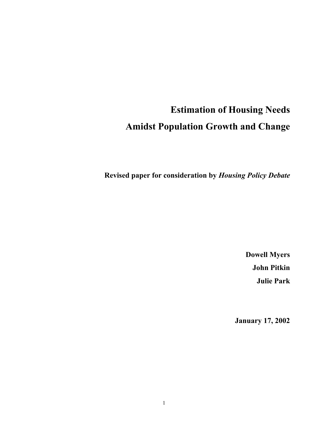# **Estimation of Housing Needs Amidst Population Growth and Change**

**Revised paper for consideration by** *Housing Policy Debate*

**Dowell Myers John Pitkin Julie Park** 

**January 17, 2002**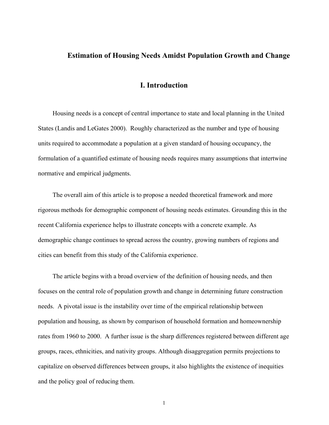#### **Estimation of Housing Needs Amidst Population Growth and Change**

## **I. Introduction**

Housing needs is a concept of central importance to state and local planning in the United States (Landis and LeGates 2000). Roughly characterized as the number and type of housing units required to accommodate a population at a given standard of housing occupancy, the formulation of a quantified estimate of housing needs requires many assumptions that intertwine normative and empirical judgments.

The overall aim of this article is to propose a needed theoretical framework and more rigorous methods for demographic component of housing needs estimates. Grounding this in the recent California experience helps to illustrate concepts with a concrete example. As demographic change continues to spread across the country, growing numbers of regions and cities can benefit from this study of the California experience.

The article begins with a broad overview of the definition of housing needs, and then focuses on the central role of population growth and change in determining future construction needs. A pivotal issue is the instability over time of the empirical relationship between population and housing, as shown by comparison of household formation and homeownership rates from 1960 to 2000. A further issue is the sharp differences registered between different age groups, races, ethnicities, and nativity groups. Although disaggregation permits projections to capitalize on observed differences between groups, it also highlights the existence of inequities and the policy goal of reducing them.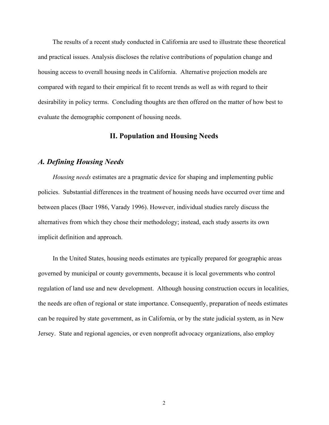The results of a recent study conducted in California are used to illustrate these theoretical and practical issues. Analysis discloses the relative contributions of population change and housing access to overall housing needs in California. Alternative projection models are compared with regard to their empirical fit to recent trends as well as with regard to their desirability in policy terms. Concluding thoughts are then offered on the matter of how best to evaluate the demographic component of housing needs.

# **II. Population and Housing Needs**

## *A. Defining Housing Needs*

*Housing needs* estimates are a pragmatic device for shaping and implementing public policies. Substantial differences in the treatment of housing needs have occurred over time and between places (Baer 1986, Varady 1996). However, individual studies rarely discuss the alternatives from which they chose their methodology; instead, each study asserts its own implicit definition and approach.

In the United States, housing needs estimates are typically prepared for geographic areas governed by municipal or county governments, because it is local governments who control regulation of land use and new development. Although housing construction occurs in localities, the needs are often of regional or state importance. Consequently, preparation of needs estimates can be required by state government, as in California, or by the state judicial system, as in New Jersey. State and regional agencies, or even nonprofit advocacy organizations, also employ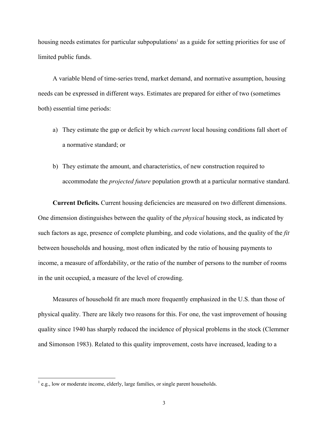housing needs estimates for particular subpopulations<sup>1</sup> as a guide for setting priorities for use of limited public funds.

A variable blend of time-series trend, market demand, and normative assumption, housing needs can be expressed in different ways. Estimates are prepared for either of two (sometimes both) essential time periods:

- a) They estimate the gap or deficit by which *current* local housing conditions fall short of a normative standard; or
- b) They estimate the amount, and characteristics, of new construction required to accommodate the *projected future* population growth at a particular normative standard.

**Current Deficits.** Current housing deficiencies are measured on two different dimensions. One dimension distinguishes between the quality of the *physical* housing stock, as indicated by such factors as age, presence of complete plumbing, and code violations, and the quality of the *fit* between households and housing, most often indicated by the ratio of housing payments to income, a measure of affordability, or the ratio of the number of persons to the number of rooms in the unit occupied, a measure of the level of crowding.

Measures of household fit are much more frequently emphasized in the U.S. than those of physical quality. There are likely two reasons for this. For one, the vast improvement of housing quality since 1940 has sharply reduced the incidence of physical problems in the stock (Clemmer and Simonson 1983). Related to this quality improvement, costs have increased, leading to a

 $<sup>1</sup>$  e.g., low or moderate income, elderly, large families, or single parent households.</sup>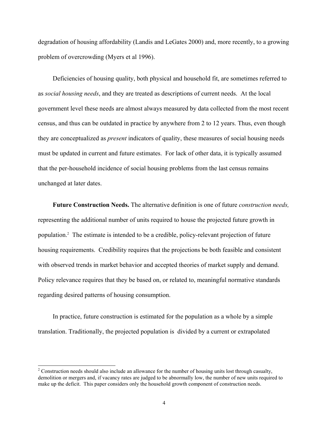degradation of housing affordability (Landis and LeGates 2000) and, more recently, to a growing problem of overcrowding (Myers et al 1996).

Deficiencies of housing quality, both physical and household fit, are sometimes referred to as *social housing needs*, and they are treated as descriptions of current needs. At the local government level these needs are almost always measured by data collected from the most recent census, and thus can be outdated in practice by anywhere from 2 to 12 years. Thus, even though they are conceptualized as *present* indicators of quality, these measures of social housing needs must be updated in current and future estimates. For lack of other data, it is typically assumed that the per-household incidence of social housing problems from the last census remains unchanged at later dates.

**Future Construction Needs.** The alternative definition is one of future *construction needs,* representing the additional number of units required to house the projected future growth in population.2 The estimate is intended to be a credible, policy-relevant projection of future housing requirements. Credibility requires that the projections be both feasible and consistent with observed trends in market behavior and accepted theories of market supply and demand. Policy relevance requires that they be based on, or related to, meaningful normative standards regarding desired patterns of housing consumption.

In practice, future construction is estimated for the population as a whole by a simple translation. Traditionally, the projected population is divided by a current or extrapolated

 $2^2$  Construction needs should also include an allowance for the number of housing units lost through casualty, demolition or mergers and, if vacancy rates are judged to be abnormally low, the number of new units required to make up the deficit. This paper considers only the household growth component of construction needs.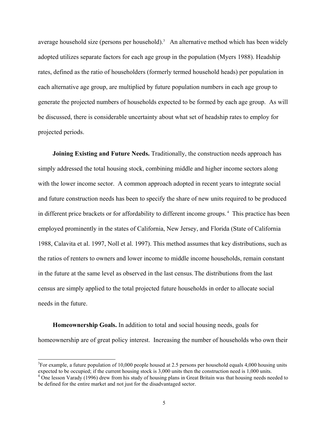average household size (persons per household).<sup>3</sup> An alternative method which has been widely adopted utilizes separate factors for each age group in the population (Myers 1988). Headship rates, defined as the ratio of householders (formerly termed household heads) per population in each alternative age group, are multiplied by future population numbers in each age group to generate the projected numbers of households expected to be formed by each age group. As will be discussed, there is considerable uncertainty about what set of headship rates to employ for projected periods.

**Joining Existing and Future Needs.** Traditionally, the construction needs approach has simply addressed the total housing stock, combining middle and higher income sectors along with the lower income sector. A common approach adopted in recent years to integrate social and future construction needs has been to specify the share of new units required to be produced in different price brackets or for affordability to different income groups. 4 This practice has been employed prominently in the states of California, New Jersey, and Florida (State of California 1988, Calavita et al. 1997, Noll et al. 1997). This method assumes that key distributions, such as the ratios of renters to owners and lower income to middle income households, remain constant in the future at the same level as observed in the last census.The distributions from the last census are simply applied to the total projected future households in order to allocate social needs in the future.

**Homeownership Goals.** In addition to total and social housing needs, goals for homeownership are of great policy interest. Increasing the number of households who own their

 $3$ For example, a future population of 10,000 people housed at 2.5 persons per household equals 4,000 housing units expected to be occupied; if the current housing stock is 3,000 units then the construction need is 1,000 units. 4

 $4$  One lesson Varady (1996) drew from his study of housing plans in Great Britain was that housing needs needed to be defined for the entire market and not just for the disadvantaged sector.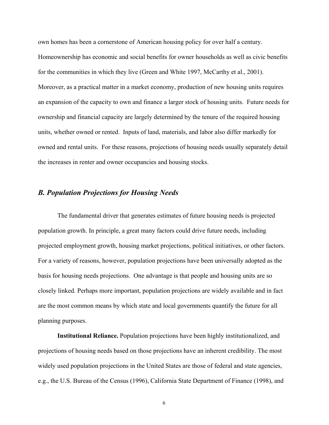own homes has been a cornerstone of American housing policy for over half a century. Homeownership has economic and social benefits for owner households as well as civic benefits for the communities in which they live (Green and White 1997, McCarthy et al., 2001). Moreover, as a practical matter in a market economy, production of new housing units requires an expansion of the capacity to own and finance a larger stock of housing units. Future needs for ownership and financial capacity are largely determined by the tenure of the required housing units, whether owned or rented. Inputs of land, materials, and labor also differ markedly for owned and rental units. For these reasons, projections of housing needs usually separately detail the increases in renter and owner occupancies and housing stocks.

# *B. Population Projections for Housing Needs*

The fundamental driver that generates estimates of future housing needs is projected population growth. In principle, a great many factors could drive future needs, including projected employment growth, housing market projections, political initiatives, or other factors. For a variety of reasons, however, population projections have been universally adopted as the basis for housing needs projections. One advantage is that people and housing units are so closely linked. Perhaps more important, population projections are widely available and in fact are the most common means by which state and local governments quantify the future for all planning purposes.

**Institutional Reliance.** Population projections have been highly institutionalized, and projections of housing needs based on those projections have an inherent credibility. The most widely used population projections in the United States are those of federal and state agencies, e.g., the U.S. Bureau of the Census (1996), California State Department of Finance (1998), and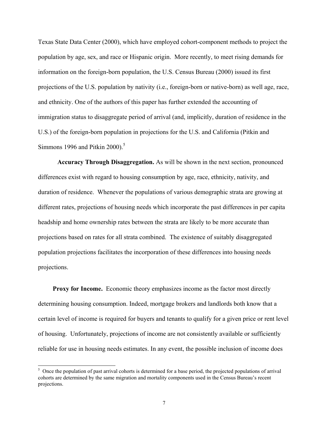Texas State Data Center (2000), which have employed cohort-component methods to project the population by age, sex, and race or Hispanic origin. More recently, to meet rising demands for information on the foreign-born population, the U.S. Census Bureau (2000) issued its first projections of the U.S. population by nativity (i.e., foreign-born or native-born) as well age, race, and ethnicity. One of the authors of this paper has further extended the accounting of immigration status to disaggregate period of arrival (and, implicitly, duration of residence in the U.S.) of the foreign-born population in projections for the U.S. and California (Pitkin and Simmons 1996 and Pitkin 2000). $5$ 

**Accuracy Through Disaggregation.** As will be shown in the next section, pronounced differences exist with regard to housing consumption by age, race, ethnicity, nativity, and duration of residence. Whenever the populations of various demographic strata are growing at different rates, projections of housing needs which incorporate the past differences in per capita headship and home ownership rates between the strata are likely to be more accurate than projections based on rates for all strata combined. The existence of suitably disaggregated population projections facilitates the incorporation of these differences into housing needs projections.

**Proxy for Income.** Economic theory emphasizes income as the factor most directly determining housing consumption. Indeed, mortgage brokers and landlords both know that a certain level of income is required for buyers and tenants to qualify for a given price or rent level of housing. Unfortunately, projections of income are not consistently available or sufficiently reliable for use in housing needs estimates. In any event, the possible inclusion of income does

<sup>&</sup>lt;sup>5</sup> Once the population of past arrival cohorts is determined for a base period, the projected populations of arrival cohorts are determined by the same migration and mortality components used in the Census Bureau's recent projections.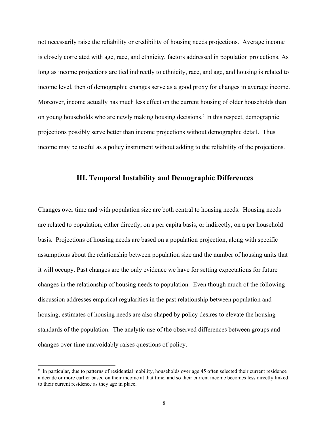not necessarily raise the reliability or credibility of housing needs projections. Average income is closely correlated with age, race, and ethnicity, factors addressed in population projections. As long as income projections are tied indirectly to ethnicity, race, and age, and housing is related to income level, then of demographic changes serve as a good proxy for changes in average income. Moreover, income actually has much less effect on the current housing of older households than on young households who are newly making housing decisions.<sup>6</sup> In this respect, demographic projections possibly serve better than income projections without demographic detail. Thus income may be useful as a policy instrument without adding to the reliability of the projections.

# **III. Temporal Instability and Demographic Differences**

Changes over time and with population size are both central to housing needs. Housing needs are related to population, either directly, on a per capita basis, or indirectly, on a per household basis. Projections of housing needs are based on a population projection, along with specific assumptions about the relationship between population size and the number of housing units that it will occupy. Past changes are the only evidence we have for setting expectations for future changes in the relationship of housing needs to population. Even though much of the following discussion addresses empirical regularities in the past relationship between population and housing, estimates of housing needs are also shaped by policy desires to elevate the housing standards of the population. The analytic use of the observed differences between groups and changes over time unavoidably raises questions of policy.

<sup>&</sup>lt;sup>6</sup> In particular, due to patterns of residential mobility, households over age 45 often selected their current residence a decade or more earlier based on their income at that time, and so their current income becomes less directly linked to their current residence as they age in place.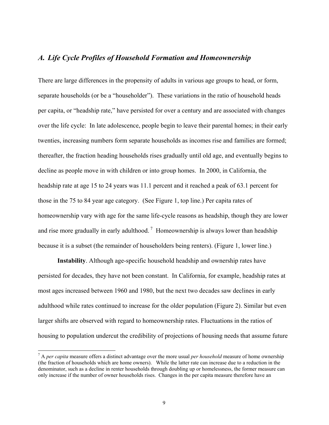# *A. Life Cycle Profiles of Household Formation and Homeownership*

There are large differences in the propensity of adults in various age groups to head, or form, separate households (or be a "householder"). These variations in the ratio of household heads per capita, or "headship rate," have persisted for over a century and are associated with changes over the life cycle: In late adolescence, people begin to leave their parental homes; in their early twenties, increasing numbers form separate households as incomes rise and families are formed; thereafter, the fraction heading households rises gradually until old age, and eventually begins to decline as people move in with children or into group homes. In 2000, in California, the headship rate at age 15 to 24 years was 11.1 percent and it reached a peak of 63.1 percent for those in the 75 to 84 year age category. (See Figure 1, top line.) Per capita rates of homeownership vary with age for the same life-cycle reasons as headship, though they are lower and rise more gradually in early adulthood.<sup>7</sup> Homeownership is always lower than headship because it is a subset (the remainder of householders being renters). (Figure 1, lower line.)

**Instability**. Although age-specific household headship and ownership rates have persisted for decades, they have not been constant. In California, for example, headship rates at most ages increased between 1960 and 1980, but the next two decades saw declines in early adulthood while rates continued to increase for the older population (Figure 2). Similar but even larger shifts are observed with regard to homeownership rates. Fluctuations in the ratios of housing to population undercut the credibility of projections of housing needs that assume future

<sup>7</sup> A *per capita* measure offers a distinct advantage over the more usual *per household* measure of home ownership (the fraction of households which are home owners). While the latter rate can increase due to a reduction in the denominator, such as a decline in renter households through doubling up or homelessness, the former measure can only increase if the number of owner households rises. Changes in the per capita measure therefore have an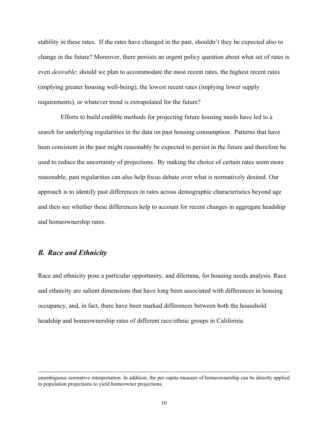stability in these rates. If the rates have changed in the past, shouldn't they be expected also to change in the future? Moreover, there persists an urgent policy question about what set of rates is even *desirable*: should we plan to accommodate the most recent rates, the highest recent rates (implying greater housing well-being), the lowest recent rates (implying lower supply requirements), or whatever trend is extrapolated for the future?

 Efforts to build credible methods for projecting future housing needs have led to a search for underlying regularities in the data on past housing consumption. Patterns that have been consistent in the past might reasonably be expected to persist in the future and therefore be used to reduce the uncertainty of projections. By making the choice of certain rates seem more reasonable, past regularities can also help focus debate over what is normatively desired. Our approach is to identify past differences in rates across demographic characteristics beyond age and then see whether these differences help to account for recent changes in aggregate headship and homeownership rates.

# *B. Race and Ethnicity*

-

Race and ethnicity pose a particular opportunity, and dilemma, for housing needs analysis. Race and ethnicity are salient dimensions that have long been associated with differences in housing occupancy, and, in fact, there have been marked differences between both the household headship and homeownership rates of different race/ethnic groups in California.

unambiguous normative interpretation. In addition, the per capita measure of homeownership can be directly applied to population projections to yield homeowner projections.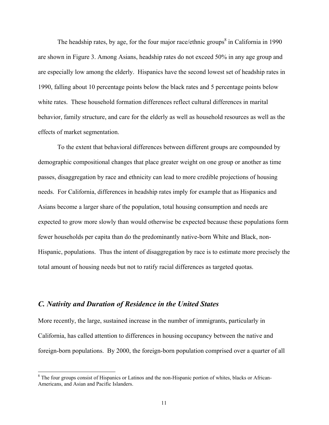The headship rates, by age, for the four major race/ethnic groups<sup>8</sup> in California in 1990 are shown in Figure 3. Among Asians, headship rates do not exceed 50% in any age group and are especially low among the elderly. Hispanics have the second lowest set of headship rates in 1990, falling about 10 percentage points below the black rates and 5 percentage points below white rates. These household formation differences reflect cultural differences in marital behavior, family structure, and care for the elderly as well as household resources as well as the effects of market segmentation.

To the extent that behavioral differences between different groups are compounded by demographic compositional changes that place greater weight on one group or another as time passes, disaggregation by race and ethnicity can lead to more credible projections of housing needs. For California, differences in headship rates imply for example that as Hispanics and Asians become a larger share of the population, total housing consumption and needs are expected to grow more slowly than would otherwise be expected because these populations form fewer households per capita than do the predominantly native-born White and Black, non-Hispanic, populations. Thus the intent of disaggregation by race is to estimate more precisely the total amount of housing needs but not to ratify racial differences as targeted quotas.

# *C. Nativity and Duration of Residence in the United States*

-

More recently, the large, sustained increase in the number of immigrants, particularly in California, has called attention to differences in housing occupancy between the native and foreign-born populations. By 2000, the foreign-born population comprised over a quarter of all

<sup>&</sup>lt;sup>8</sup> The four groups consist of Hispanics or Latinos and the non-Hispanic portion of whites, blacks or African-Americans, and Asian and Pacific Islanders.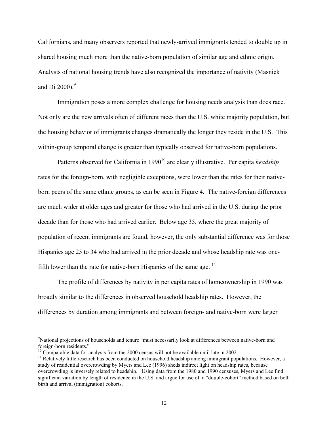Californians, and many observers reported that newly-arrived immigrants tended to double up in shared housing much more than the native-born population of similar age and ethnic origin. Analysts of national housing trends have also recognized the importance of nativity (Masnick and Di  $2000$ .<sup>9</sup>

Immigration poses a more complex challenge for housing needs analysis than does race. Not only are the new arrivals often of different races than the U.S. white majority population, but the housing behavior of immigrants changes dramatically the longer they reside in the U.S. This within-group temporal change is greater than typically observed for native-born populations.

Patterns observed for California in 1990<sup>10</sup> are clearly illustrative. Per capita *headship* rates for the foreign-born, with negligible exceptions, were lower than the rates for their nativeborn peers of the same ethnic groups, as can be seen in Figure 4. The native-foreign differences are much wider at older ages and greater for those who had arrived in the U.S. during the prior decade than for those who had arrived earlier. Below age 35, where the great majority of population of recent immigrants are found, however, the only substantial difference was for those Hispanics age 25 to 34 who had arrived in the prior decade and whose headship rate was onefifth lower than the rate for native-born Hispanics of the same age.  $11$ 

The profile of differences by nativity in per capita rates of homeownership in 1990 was broadly similar to the differences in observed household headship rates. However, the differences by duration among immigrants and between foreign- and native-born were larger

<sup>&</sup>lt;sup>9</sup>National projections of households and tenure "must necessarily look at differences between native-born and foreign-born residents."<br><sup>10</sup> Comparable data for analysis from the 2000 census will not be available until late in 2002.

 $11$  Relatively little research has been conducted on household headship among immigrant populations. However, a study of residential overcrowding by Myers and Lee (1996) sheds indirect light on headship rates, because overcrowding is inversely related to headship. Using data from the 1980 and 1990 censuses, Myers and Lee find significant variation by length of residence in the U.S. and argue for use of a "double-cohort" method based on both birth and arrival (immigration) cohorts.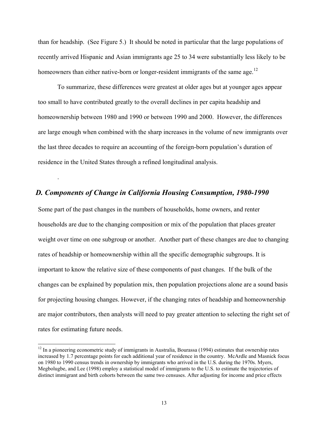than for headship. (See Figure 5.) It should be noted in particular that the large populations of recently arrived Hispanic and Asian immigrants age 25 to 34 were substantially less likely to be homeowners than either native-born or longer-resident immigrants of the same age.<sup>12</sup>

To summarize, these differences were greatest at older ages but at younger ages appear too small to have contributed greatly to the overall declines in per capita headship and homeownership between 1980 and 1990 or between 1990 and 2000. However, the differences are large enough when combined with the sharp increases in the volume of new immigrants over the last three decades to require an accounting of the foreign-born population's duration of residence in the United States through a refined longitudinal analysis.

# *D. Components of Change in California Housing Consumption, 1980-1990*

.

-

Some part of the past changes in the numbers of households, home owners, and renter households are due to the changing composition or mix of the population that places greater weight over time on one subgroup or another. Another part of these changes are due to changing rates of headship or homeownership within all the specific demographic subgroups. It is important to know the relative size of these components of past changes. If the bulk of the changes can be explained by population mix, then population projections alone are a sound basis for projecting housing changes. However, if the changing rates of headship and homeownership are major contributors, then analysts will need to pay greater attention to selecting the right set of rates for estimating future needs.

 $12$  In a pioneering econometric study of immigrants in Australia, Bourassa (1994) estimates that ownership rates increased by 1.7 percentage points for each additional year of residence in the country. McArdle and Masnick focus on 1980 to 1990 census trends in ownership by immigrants who arrived in the U.S. during the 1970s. Myers, Megbolugbe, and Lee (1998) employ a statistical model of immigrants to the U.S. to estimate the trajectories of distinct immigrant and birth cohorts between the same two censuses. After adjusting for income and price effects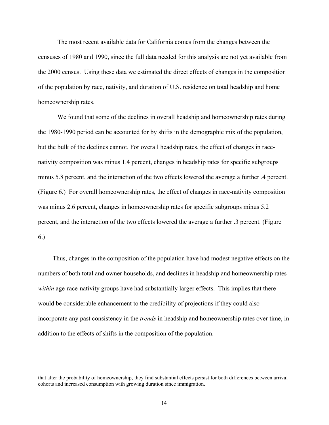The most recent available data for California comes from the changes between the censuses of 1980 and 1990, since the full data needed for this analysis are not yet available from the 2000 census. Using these data we estimated the direct effects of changes in the composition of the population by race, nativity, and duration of U.S. residence on total headship and home homeownership rates.

We found that some of the declines in overall headship and homeownership rates during the 1980-1990 period can be accounted for by shifts in the demographic mix of the population, but the bulk of the declines cannot. For overall headship rates, the effect of changes in racenativity composition was minus 1.4 percent, changes in headship rates for specific subgroups minus 5.8 percent, and the interaction of the two effects lowered the average a further .4 percent. (Figure 6.) For overall homeownership rates, the effect of changes in race-nativity composition was minus 2.6 percent, changes in homeownership rates for specific subgroups minus 5.2 percent, and the interaction of the two effects lowered the average a further .3 percent. (Figure 6.)

Thus, changes in the composition of the population have had modest negative effects on the numbers of both total and owner households, and declines in headship and homeownership rates *within* age-race-nativity groups have had substantially larger effects. This implies that there would be considerable enhancement to the credibility of projections if they could also incorporate any past consistency in the *trends* in headship and homeownership rates over time, in addition to the effects of shifts in the composition of the population.

that alter the probability of homeownership, they find substantial effects persist for both differences between arrival cohorts and increased consumption with growing duration since immigration.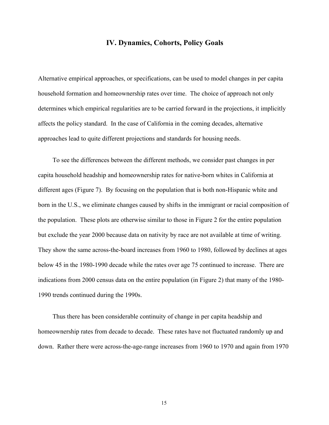# **IV. Dynamics, Cohorts, Policy Goals**

Alternative empirical approaches, or specifications, can be used to model changes in per capita household formation and homeownership rates over time. The choice of approach not only determines which empirical regularities are to be carried forward in the projections, it implicitly affects the policy standard. In the case of California in the coming decades, alternative approaches lead to quite different projections and standards for housing needs.

To see the differences between the different methods, we consider past changes in per capita household headship and homeownership rates for native-born whites in California at different ages (Figure 7). By focusing on the population that is both non-Hispanic white and born in the U.S., we eliminate changes caused by shifts in the immigrant or racial composition of the population. These plots are otherwise similar to those in Figure 2 for the entire population but exclude the year 2000 because data on nativity by race are not available at time of writing. They show the same across-the-board increases from 1960 to 1980, followed by declines at ages below 45 in the 1980-1990 decade while the rates over age 75 continued to increase. There are indications from 2000 census data on the entire population (in Figure 2) that many of the 1980- 1990 trends continued during the 1990s.

Thus there has been considerable continuity of change in per capita headship and homeownership rates from decade to decade. These rates have not fluctuated randomly up and down. Rather there were across-the-age-range increases from 1960 to 1970 and again from 1970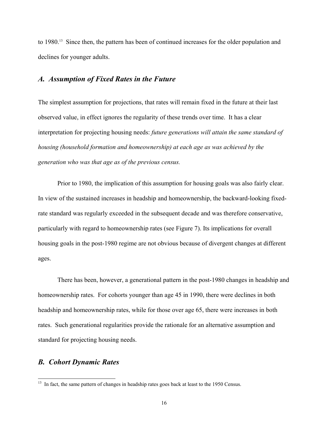to 1980.<sup>13</sup> Since then, the pattern has been of continued increases for the older population and declines for younger adults.

#### *A. Assumption of Fixed Rates in the Future*

The simplest assumption for projections, that rates will remain fixed in the future at their last observed value, in effect ignores the regularity of these trends over time. It has a clear interpretation for projecting housing needs: *future generations will attain the same standard of housing (household formation and homeownership) at each age as was achieved by the generation who was that age as of the previous census.*

Prior to 1980, the implication of this assumption for housing goals was also fairly clear. In view of the sustained increases in headship and homeownership, the backward-looking fixedrate standard was regularly exceeded in the subsequent decade and was therefore conservative, particularly with regard to homeownership rates (see Figure 7). Its implications for overall housing goals in the post-1980 regime are not obvious because of divergent changes at different ages.

There has been, however, a generational pattern in the post-1980 changes in headship and homeownership rates. For cohorts younger than age 45 in 1990, there were declines in both headship and homeownership rates, while for those over age 65, there were increases in both rates. Such generational regularities provide the rationale for an alternative assumption and standard for projecting housing needs.

## *B. Cohort Dynamic Rates*

 $13$  In fact, the same pattern of changes in headship rates goes back at least to the 1950 Census.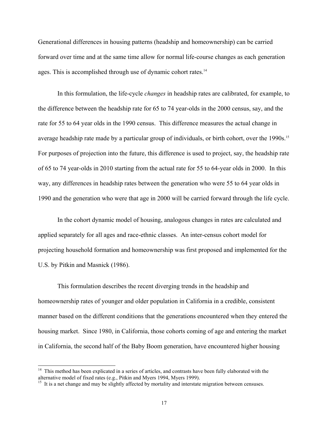Generational differences in housing patterns (headship and homeownership) can be carried forward over time and at the same time allow for normal life-course changes as each generation ages. This is accomplished through use of dynamic cohort rates.<sup>14</sup>

In this formulation, the life-cycle *changes* in headship rates are calibrated, for example, to the difference between the headship rate for 65 to 74 year-olds in the 2000 census, say, and the rate for 55 to 64 year olds in the 1990 census. This difference measures the actual change in average headship rate made by a particular group of individuals, or birth cohort, over the 1990s.<sup>15</sup> For purposes of projection into the future, this difference is used to project, say, the headship rate of 65 to 74 year-olds in 2010 starting from the actual rate for 55 to 64-year olds in 2000. In this way, any differences in headship rates between the generation who were 55 to 64 year olds in 1990 and the generation who were that age in 2000 will be carried forward through the life cycle.

In the cohort dynamic model of housing, analogous changes in rates are calculated and applied separately for all ages and race-ethnic classes. An inter-census cohort model for projecting household formation and homeownership was first proposed and implemented for the U.S. by Pitkin and Masnick (1986).

This formulation describes the recent diverging trends in the headship and homeownership rates of younger and older population in California in a credible, consistent manner based on the different conditions that the generations encountered when they entered the housing market. Since 1980, in California, those cohorts coming of age and entering the market in California, the second half of the Baby Boom generation, have encountered higher housing

<sup>&</sup>lt;sup>14</sup> This method has been explicated in a series of articles, and contrasts have been fully elaborated with the alternative model of fixed rates (e.g., Pitkin and Myers 1994, Myers 1999).

<sup>&</sup>lt;sup>15</sup> It is a net change and may be slightly affected by mortality and interstate migration between censuses.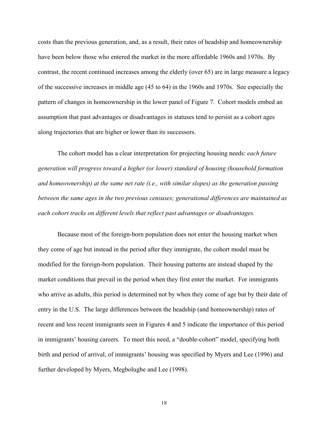costs than the previous generation, and, as a result, their rates of headship and homeownership have been below those who entered the market in the more affordable 1960s and 1970s. By contrast, the recent continued increases among the elderly (over 65) are in large measure a legacy of the successive increases in middle age (45 to 64) in the 1960s and 1970s. See especially the pattern of changes in homeownership in the lower panel of Figure 7. Cohort models embed an assumption that past advantages or disadvantages in statuses tend to persist as a cohort ages along trajectories that are higher or lower than its successors.

The cohort model has a clear interpretation for projecting housing needs: *each future generation will progress toward a higher (or lower) standard of housing (household formation and homeownership) at the same net rate (i.e., with similar slopes) as the generation passing between the same ages in the two previous censuses; generational differences are maintained as each cohort tracks on different levels that reflect past advantages or disadvantages.*

Because most of the foreign-born population does not enter the housing market when they come of age but instead in the period after they immigrate, the cohort model must be modified for the foreign-born population. Their housing patterns are instead shaped by the market conditions that prevail in the period when they first enter the market. For immigrants who arrive as adults, this period is determined not by when they come of age but by their date of entry in the U.S. The large differences between the headship (and homeownership) rates of recent and less recent immigrants seen in Figures 4 and 5 indicate the importance of this period in immigrants' housing careers. To meet this need, a "double-cohort" model, specifying both birth and period of arrival, of immigrants' housing was specified by Myers and Lee (1996) and further developed by Myers, Megbolugbe and Lee (1998).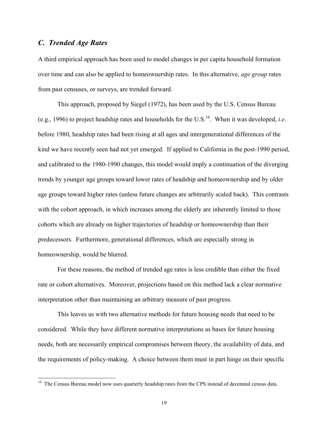# *C. Trended Age Rates*

-

A third empirical approach has been used to model changes in per capita household formation over time and can also be applied to homeownership rates. In this alternative, *age group* rates from past censuses, or surveys, are trended forward.

This approach, proposed by Siegel (1972), has been used by the U.S. Census Bureau (e.g., 1996) to project headship rates and households for the U.S.<sup>16</sup>. When it was developed, *i.e.* before 1980, headship rates had been rising at all ages and intergenerational differences of the kind we have recently seen had not yet emerged. If applied to California in the post-1990 period, and calibrated to the 1980-1990 changes, this model would imply a continuation of the diverging trends by younger age groups toward lower rates of headship and homeownership and by older age groups toward higher rates (unless future changes are arbitrarily scaled back). This contrasts with the cohort approach, in which increases among the elderly are inherently limited to those cohorts which are already on higher trajectories of headship or homeownership than their predecessors. Furthermore, generational differences, which are especially strong in homeownership, would be blurred.

For these reasons, the method of trended age rates is less credible than either the fixed rate or cohort alternatives. Moreover, projections based on this method lack a clear normative interpretation other than maintaining an arbitrary measure of past progress.

This leaves us with two alternative methods for future housing needs that need to be considered. While they have different normative interpretations as bases for future housing needs, both are necessarily empirical compromises between theory, the availability of data, and the requirements of policy-making. A choice between them must in part hinge on their specific

<sup>&</sup>lt;sup>16</sup> The Census Bureau model now uses quarterly headship rates from the CPS instead of decennial census data.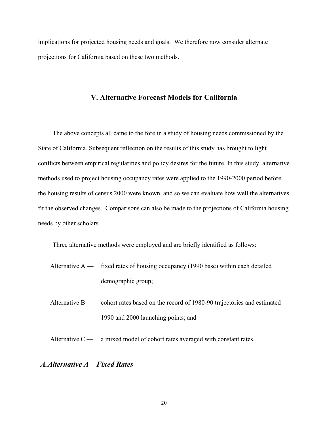implications for projected housing needs and goals. We therefore now consider alternate projections for California based on these two methods.

# **V. Alternative Forecast Models for California**

The above concepts all came to the fore in a study of housing needs commissioned by the State of California. Subsequent reflection on the results of this study has brought to light conflicts between empirical regularities and policy desires for the future. In this study, alternative methods used to project housing occupancy rates were applied to the 1990-2000 period before the housing results of census 2000 were known, and so we can evaluate how well the alternatives fit the observed changes. Comparisons can also be made to the projections of California housing needs by other scholars.

Three alternative methods were employed and are briefly identified as follows:

- Alternative  $A \rightarrow$  fixed rates of housing occupancy (1990 base) within each detailed demographic group;
- Alternative B cohort rates based on the record of 1980-90 trajectories and estimated 1990 and 2000 launching points; and
- Alternative  $C \rightarrow$  a mixed model of cohort rates averaged with constant rates.

# *A. Alternative A—Fixed Rates*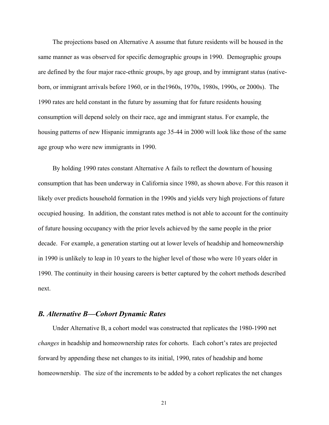The projections based on Alternative A assume that future residents will be housed in the same manner as was observed for specific demographic groups in 1990. Demographic groups are defined by the four major race-ethnic groups, by age group, and by immigrant status (nativeborn, or immigrant arrivals before 1960, or in the1960s, 1970s, 1980s, 1990s, or 2000s). The 1990 rates are held constant in the future by assuming that for future residents housing consumption will depend solely on their race, age and immigrant status. For example, the housing patterns of new Hispanic immigrants age 35-44 in 2000 will look like those of the same age group who were new immigrants in 1990.

By holding 1990 rates constant Alternative A fails to reflect the downturn of housing consumption that has been underway in California since 1980, as shown above. For this reason it likely over predicts household formation in the 1990s and yields very high projections of future occupied housing. In addition, the constant rates method is not able to account for the continuity of future housing occupancy with the prior levels achieved by the same people in the prior decade. For example, a generation starting out at lower levels of headship and homeownership in 1990 is unlikely to leap in 10 years to the higher level of those who were 10 years older in 1990. The continuity in their housing careers is better captured by the cohort methods described next.

## *B. Alternative B—Cohort Dynamic Rates*

Under Alternative B, a cohort model was constructed that replicates the 1980-1990 net *changes* in headship and homeownership rates for cohorts. Each cohort's rates are projected forward by appending these net changes to its initial, 1990, rates of headship and home homeownership. The size of the increments to be added by a cohort replicates the net changes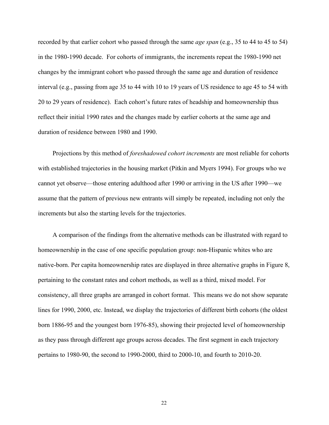recorded by that earlier cohort who passed through the same *age span* (e.g., 35 to 44 to 45 to 54) in the 1980-1990 decade. For cohorts of immigrants, the increments repeat the 1980-1990 net changes by the immigrant cohort who passed through the same age and duration of residence interval (e.g., passing from age 35 to 44 with 10 to 19 years of US residence to age 45 to 54 with 20 to 29 years of residence). Each cohort's future rates of headship and homeownership thus reflect their initial 1990 rates and the changes made by earlier cohorts at the same age and duration of residence between 1980 and 1990.

Projections by this method of *foreshadowed cohort increments* are most reliable for cohorts with established trajectories in the housing market (Pitkin and Myers 1994). For groups who we cannot yet observe—those entering adulthood after 1990 or arriving in the US after 1990—we assume that the pattern of previous new entrants will simply be repeated, including not only the increments but also the starting levels for the trajectories.

A comparison of the findings from the alternative methods can be illustrated with regard to homeownership in the case of one specific population group: non-Hispanic whites who are native-born. Per capita homeownership rates are displayed in three alternative graphs in Figure 8, pertaining to the constant rates and cohort methods, as well as a third, mixed model. For consistency, all three graphs are arranged in cohort format. This means we do not show separate lines for 1990, 2000, etc. Instead, we display the trajectories of different birth cohorts (the oldest born 1886-95 and the youngest born 1976-85), showing their projected level of homeownership as they pass through different age groups across decades. The first segment in each trajectory pertains to 1980-90, the second to 1990-2000, third to 2000-10, and fourth to 2010-20.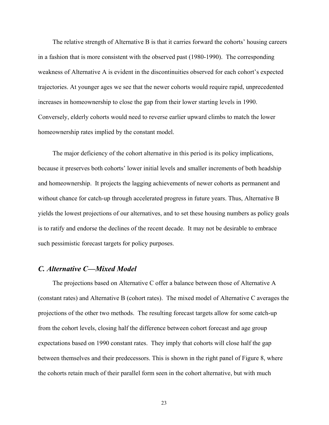The relative strength of Alternative B is that it carries forward the cohorts' housing careers in a fashion that is more consistent with the observed past (1980-1990). The corresponding weakness of Alternative A is evident in the discontinuities observed for each cohort's expected trajectories. At younger ages we see that the newer cohorts would require rapid, unprecedented increases in homeownership to close the gap from their lower starting levels in 1990. Conversely, elderly cohorts would need to reverse earlier upward climbs to match the lower homeownership rates implied by the constant model.

The major deficiency of the cohort alternative in this period is its policy implications, because it preserves both cohorts' lower initial levels and smaller increments of both headship and homeownership. It projects the lagging achievements of newer cohorts as permanent and without chance for catch-up through accelerated progress in future years. Thus, Alternative B yields the lowest projections of our alternatives, and to set these housing numbers as policy goals is to ratify and endorse the declines of the recent decade. It may not be desirable to embrace such pessimistic forecast targets for policy purposes.

## *C. Alternative C—Mixed Model*

The projections based on Alternative C offer a balance between those of Alternative A (constant rates) and Alternative B (cohort rates). The mixed model of Alternative C averages the projections of the other two methods. The resulting forecast targets allow for some catch-up from the cohort levels, closing half the difference between cohort forecast and age group expectations based on 1990 constant rates. They imply that cohorts will close half the gap between themselves and their predecessors. This is shown in the right panel of Figure 8, where the cohorts retain much of their parallel form seen in the cohort alternative, but with much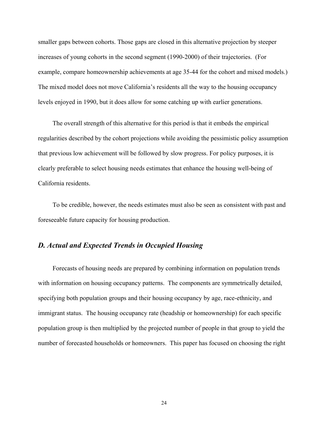smaller gaps between cohorts. Those gaps are closed in this alternative projection by steeper increases of young cohorts in the second segment (1990-2000) of their trajectories. (For example, compare homeownership achievements at age 35-44 for the cohort and mixed models.) The mixed model does not move California's residents all the way to the housing occupancy levels enjoyed in 1990, but it does allow for some catching up with earlier generations.

The overall strength of this alternative for this period is that it embeds the empirical regularities described by the cohort projections while avoiding the pessimistic policy assumption that previous low achievement will be followed by slow progress. For policy purposes, it is clearly preferable to select housing needs estimates that enhance the housing well-being of California residents.

To be credible, however, the needs estimates must also be seen as consistent with past and foreseeable future capacity for housing production.

# *D. Actual and Expected Trends in Occupied Housing*

 Forecasts of housing needs are prepared by combining information on population trends with information on housing occupancy patterns. The components are symmetrically detailed, specifying both population groups and their housing occupancy by age, race-ethnicity, and immigrant status. The housing occupancy rate (headship or homeownership) for each specific population group is then multiplied by the projected number of people in that group to yield the number of forecasted households or homeowners. This paper has focused on choosing the right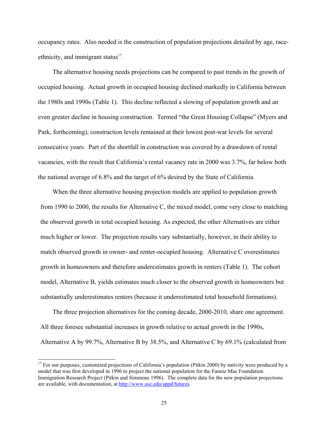occupancy rates. Also needed is the construction of population projections detailed by age, raceethnicity, and immigrant status $17$ .

The alternative housing needs projections can be compared to past trends in the growth of occupied housing. Actual growth in occupied housing declined markedly in California between the 1980s and 1990s (Table 1). This decline reflected a slowing of population growth and an even greater decline in housing construction. Termed "the Great Housing Collapse" (Myers and Park, forthcoming), construction levels remained at their lowest post-war levels for several consecutive years. Part of the shortfall in construction was covered by a drawdown of rental vacancies, with the result that California's rental vacancy rate in 2000 was 3.7%, far below both the national average of 6.8% and the target of 6% desired by the State of California.

When the three alternative housing projection models are applied to population growth from 1990 to 2000, the results for Alternative C, the mixed model, come very close to matching the observed growth in total occupied housing. As expected, the other Alternatives are either much higher or lower. The projection results vary substantially, however, in their ability to match observed growth in owner- and renter-occupied housing. Alternative C overestimates growth in homeowners and therefore underestimates growth in renters (Table 1). The cohort model, Alternative B, yields estimates much closer to the observed growth in homeowners but substantially underestimates renters (because it underestimated total household formations).

The three projection alternatives for the coming decade, 2000-2010, share one agreement. All three foresee substantial increases in growth relative to actual growth in the 1990s, Alternative A by 99.7%, Alternative B by 38.5%, and Alternative C by 69.1% (calculated from

<sup>&</sup>lt;sup>17</sup> For our purposes, customized projections of California's population (Pitkin 2000) by nativity were produced by a model that was first developed in 1996 to project the national population for the Fannie Mae Foundation Immigration Research Project (Pitkin and Simmons 1996). The complete data for the new population projections are available, with documentation, at http://www.usc.edu/sppd/futures.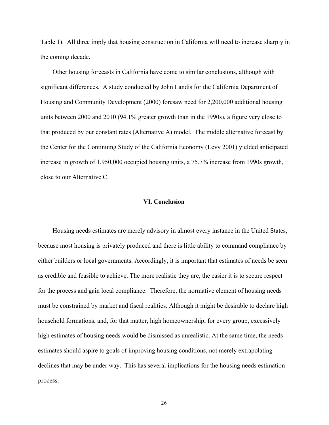Table 1). All three imply that housing construction in California will need to increase sharply in the coming decade.

Other housing forecasts in California have come to similar conclusions, although with significant differences. A study conducted by John Landis for the California Department of Housing and Community Development (2000) foresaw need for 2,200,000 additional housing units between 2000 and 2010 (94.1% greater growth than in the 1990s), a figure very close to that produced by our constant rates (Alternative A) model. The middle alternative forecast by the Center for the Continuing Study of the California Economy (Levy 2001) yielded anticipated increase in growth of 1,950,000 occupied housing units, a 75.7% increase from 1990s growth, close to our Alternative C.

#### **VI. Conclusion**

Housing needs estimates are merely advisory in almost every instance in the United States, because most housing is privately produced and there is little ability to command compliance by either builders or local governments. Accordingly, it is important that estimates of needs be seen as credible and feasible to achieve. The more realistic they are, the easier it is to secure respect for the process and gain local compliance. Therefore, the normative element of housing needs must be constrained by market and fiscal realities. Although it might be desirable to declare high household formations, and, for that matter, high homeownership, for every group, excessively high estimates of housing needs would be dismissed as unrealistic. At the same time, the needs estimates should aspire to goals of improving housing conditions, not merely extrapolating declines that may be under way. This has several implications for the housing needs estimation process.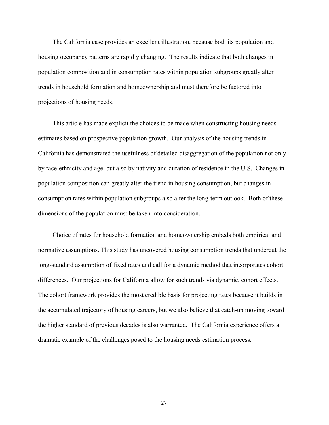The California case provides an excellent illustration, because both its population and housing occupancy patterns are rapidly changing. The results indicate that both changes in population composition and in consumption rates within population subgroups greatly alter trends in household formation and homeownership and must therefore be factored into projections of housing needs.

This article has made explicit the choices to be made when constructing housing needs estimates based on prospective population growth. Our analysis of the housing trends in California has demonstrated the usefulness of detailed disaggregation of the population not only by race-ethnicity and age, but also by nativity and duration of residence in the U.S. Changes in population composition can greatly alter the trend in housing consumption, but changes in consumption rates within population subgroups also alter the long-term outlook. Both of these dimensions of the population must be taken into consideration.

Choice of rates for household formation and homeownership embeds both empirical and normative assumptions. This study has uncovered housing consumption trends that undercut the long-standard assumption of fixed rates and call for a dynamic method that incorporates cohort differences. Our projections for California allow for such trends via dynamic, cohort effects. The cohort framework provides the most credible basis for projecting rates because it builds in the accumulated trajectory of housing careers, but we also believe that catch-up moving toward the higher standard of previous decades is also warranted. The California experience offers a dramatic example of the challenges posed to the housing needs estimation process.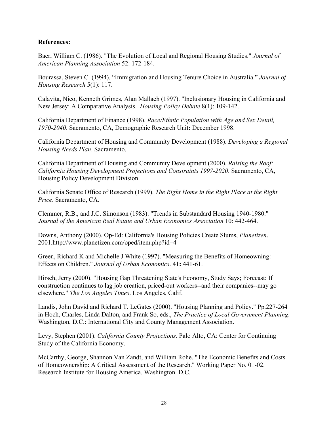## **References:**

Baer, William C. (1986). "The Evolution of Local and Regional Housing Studies." *Journal of American Planning Association* 52: 172-184.

Bourassa, Steven C. (1994). "Immigration and Housing Tenure Choice in Australia." *Journal of Housing Research* 5(1): 117.

Calavita, Nico, Kenneth Grimes, Alan Mallach (1997). "Inclusionary Housing in California and New Jersey: A Comparative Analysis. *Housing Policy Debate* 8(1): 109-142.

California Department of Finance (1998). *Race/Ethnic Population with Age and Sex Detail, 1970-2040*. Sacramento, CA, Demographic Research Unit**:** December 1998.

California Department of Housing and Community Development (1988). *Developing a Regional Housing Needs Plan*. Sacramento.

California Department of Housing and Community Development (2000). *Raising the Roof: California Housing Development Projections and Constraints 1997-2020*. Sacramento, CA, Housing Policy Development Division.

California Senate Office of Research (1999). *The Right Home in the Right Place at the Right Price*. Sacramento, CA.

Clemmer, R.B., and J.C. Simonson (1983). "Trends in Substandard Housing 1940-1980." *Journal of the American Real Estate and Urban Economics Association* 10: 442-464.

Downs, Anthony (2000). Op-Ed: California's Housing Policies Create Slums, *Planetizen*. 2001.http://www.planetizen.com/oped/item.php?id=4

Green, Richard K and Michelle J White (1997). "Measuring the Benefits of Homeowning: Effects on Children." *Journal of Urban Economics*. 41**:** 441-61.

Hirsch, Jerry (2000). "Housing Gap Threatening State's Economy, Study Says; Forecast: If construction continues to lag job creation, priced-out workers--and their companies--may go elsewhere." *The Los Angeles Times*. Los Angeles, Calif.

Landis, John David and Richard T. LeGates (2000). "Housing Planning and Policy." Pp.227-264 in Hoch, Charles, Linda Dalton, and Frank So, eds., *The Practice of Local Government Planning*. Washington, D.C.: International City and County Management Association.

Levy, Stephen (2001). *California County Projections*. Palo Alto, CA: Center for Continuing Study of the California Economy.

McCarthy, George, Shannon Van Zandt, and William Rohe. "The Economic Benefits and Costs of Homeownership: A Critical Assessment of the Research." Working Paper No. 01-02. Research Institute for Housing America. Washington. D.C.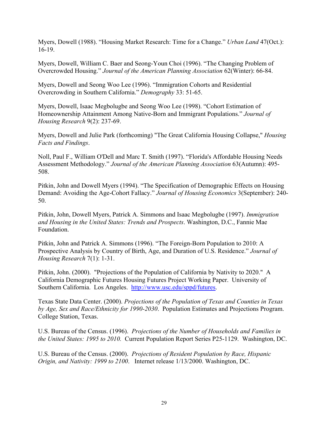Myers, Dowell (1988). "Housing Market Research: Time for a Change." *Urban Land* 47(Oct.): 16-19.

Myers, Dowell, William C. Baer and Seong-Youn Choi (1996). "The Changing Problem of Overcrowded Housing." *Journal of the American Planning Association* 62(Winter): 66-84.

Myers, Dowell and Seong Woo Lee (1996). "Immigration Cohorts and Residential Overcrowding in Southern California." *Demography* 33: 51-65.

Myers, Dowell, Isaac Megbolugbe and Seong Woo Lee (1998). "Cohort Estimation of Homeownership Attainment Among Native-Born and Immigrant Populations." *Journal of Housing Research* 9(2): 237-69.

Myers, Dowell and Julie Park (forthcoming) "The Great California Housing Collapse," *Housing Facts and Findings*.

Noll, Paul F., William O'Dell and Marc T. Smith (1997). "Florida's Affordable Housing Needs Assessment Methodology." *Journal of the American Planning Association* 63(Autumn): 495- 508.

Pitkin, John and Dowell Myers (1994). "The Specification of Demographic Effects on Housing Demand: Avoiding the Age-Cohort Fallacy." *Journal of Housing Economics* 3(September): 240- 50.

Pitkin, John, Dowell Myers, Patrick A. Simmons and Isaac Megbolugbe (1997). *Immigration and Housing in the United States: Trends and Prospects*. Washington, D.C., Fannie Mae Foundation.

Pitkin, John and Patrick A. Simmons (1996). "The Foreign-Born Population to 2010: A Prospective Analysis by Country of Birth, Age, and Duration of U.S. Residence." *Journal of Housing Research* 7(1): 1-31.

Pitkin, John. (2000). "Projections of the Population of California by Nativity to 2020." A California Demographic Futures Housing Futures Project Working Paper. University of Southern California. Los Angeles. http://www.usc.edu/sppd/futures.

Texas State Data Center. (2000). *Projections of the Population of Texas and Counties in Texas by Age, Sex and Race/Ethnicity for 1990-2030*.Population Estimates and Projections Program. College Station, Texas.

U.S. Bureau of the Census. (1996). *Projections of the Number of Households and Families in the United States: 1995 to 2010.* Current Population Report Series P25-1129. Washington, DC.

U.S. Bureau of the Census. (2000). *Projections of Resident Population by Race, Hispanic Origin, and Nativity: 1999 to 2100*. Internet release 1/13/2000. Washington, DC.